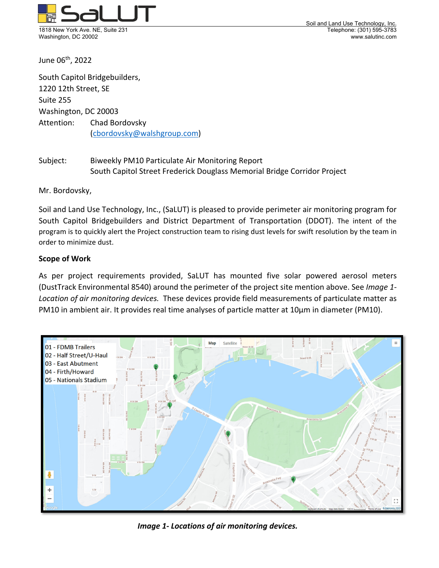

Soil and Land Use Technology, Inc. Washington, DC 20002 www.salutinc.com

June 06th, 2022

South Capitol Bridgebuilders, 1220 12th Street, SE Suite 255 Washington, DC 20003 Attention: Chad Bordovsky (cbordovsky@walshgroup.com)

Subject: Biweekly PM10 Particulate Air Monitoring Report South Capitol Street Frederick Douglass Memorial Bridge Corridor Project

Mr. Bordovsky,

Soil and Land Use Technology, Inc., (SaLUT) is pleased to provide perimeter air monitoring program for South Capitol Bridgebuilders and District Department of Transportation (DDOT). The intent of the program is to quickly alert the Project construction team to rising dust levels for swift resolution by the team in order to minimize dust.

#### **Scope of Work**

As per project requirements provided, SaLUT has mounted five solar powered aerosol meters (DustTrack Environmental 8540) around the perimeter of the project site mention above. See *Image 1‐ Location of air monitoring devices.* These devices provide field measurements of particulate matter as PM10 in ambient air. It provides real time analyses of particle matter at 10μm in diameter (PM10).



*Image 1‐ Locations of air monitoring devices.*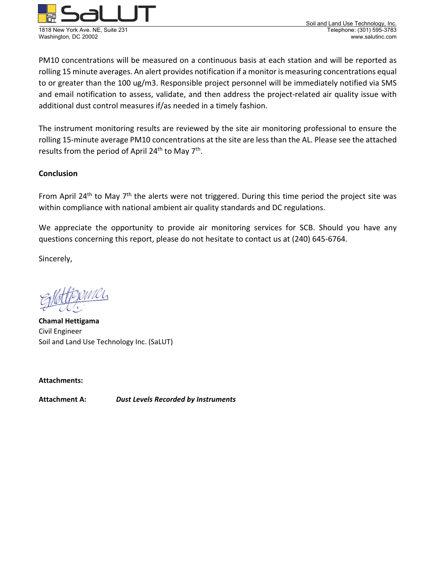

Washington, DC 20002

PM10 concentrations will be measured on a continuous basis at each station and will be reported as rolling 15 minute averages. An alert provides notification if a monitor is measuring concentrations equal to or greater than the 100 ug/m3. Responsible project personnel will be immediately notified via SMS and email notification to assess, validate, and then address the project-related air quality issue with additional dust control measures if/as needed in a timely fashion.

The instrument monitoring results are reviewed by the site air monitoring professional to ensure the rolling 15‐minute average PM10 concentrations at the site are less than the AL. Please see the attached results from the period of April  $24^{th}$  to May  $7^{th}$ .

# **Conclusion**

From April 24<sup>th</sup> to May  $7<sup>th</sup>$  the alerts were not triggered. During this time period the project site was within compliance with national ambient air quality standards and DC regulations.

We appreciate the opportunity to provide air monitoring services for SCB. Should you have any questions concerning this report, please do not hesitate to contact us at (240) 645‐6764.

Sincerely,

**Chamal Hettigama**  Civil Engineer Soil and Land Use Technology Inc. (SaLUT)

**Attachments:**

**Attachment A:**  *Dust Levels Recorded by Instruments*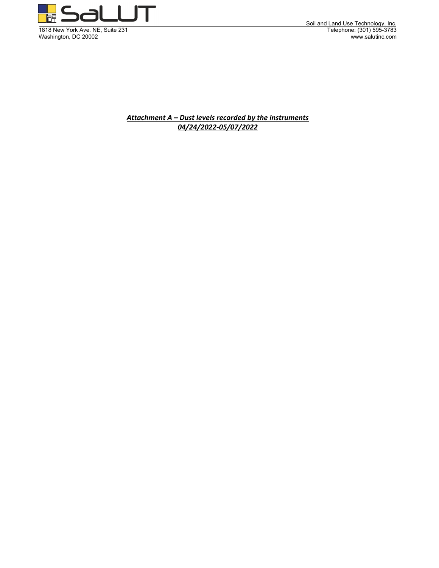

Soil and Land Use Technology, Inc. Washington, DC 20002 www.salutinc.com

> *Attachment A – Dust levels recorded by the instruments 04/24/2022‐05/07/2022*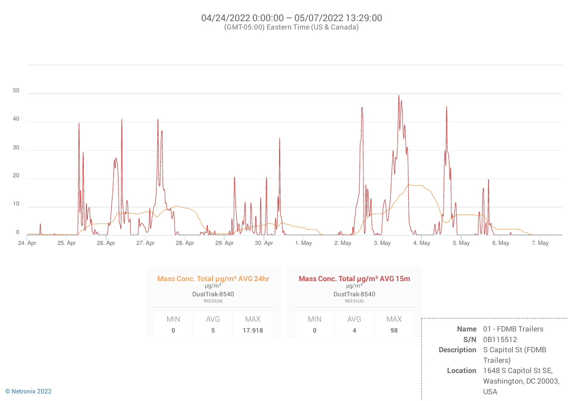#### 04/24/2022 0:00:00 – 05/07/2022 13:29:00 (GMT-05:00) Eastern Time (US & Canada)

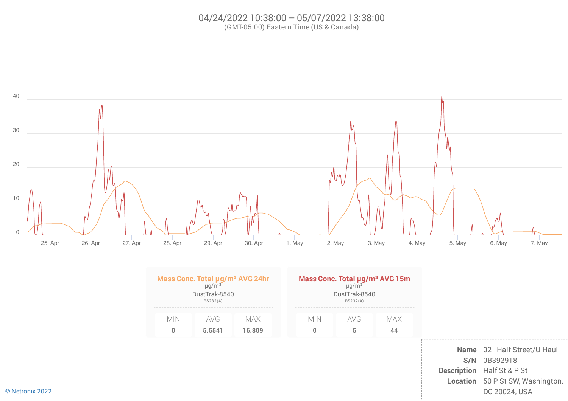# 04/24/2022 10:38:00 – 05/07/2022 13:38:00 (GMT-05:00) Eastern Time (US & Canada)

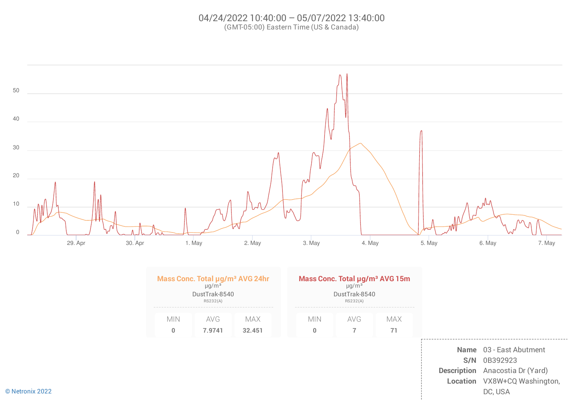# 04/24/2022 10:40:00 – 05/07/2022 13:40:00 (GMT-05:00) Eastern Time (US & Canada)

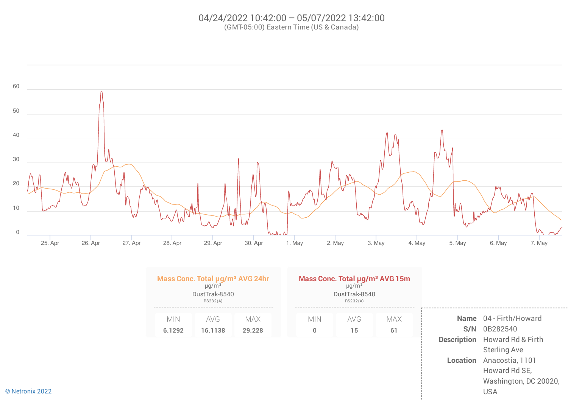# 04/24/2022 10:42:00 – 05/07/2022 13:42:00 (GMT-05:00) Eastern Time (US & Canada)